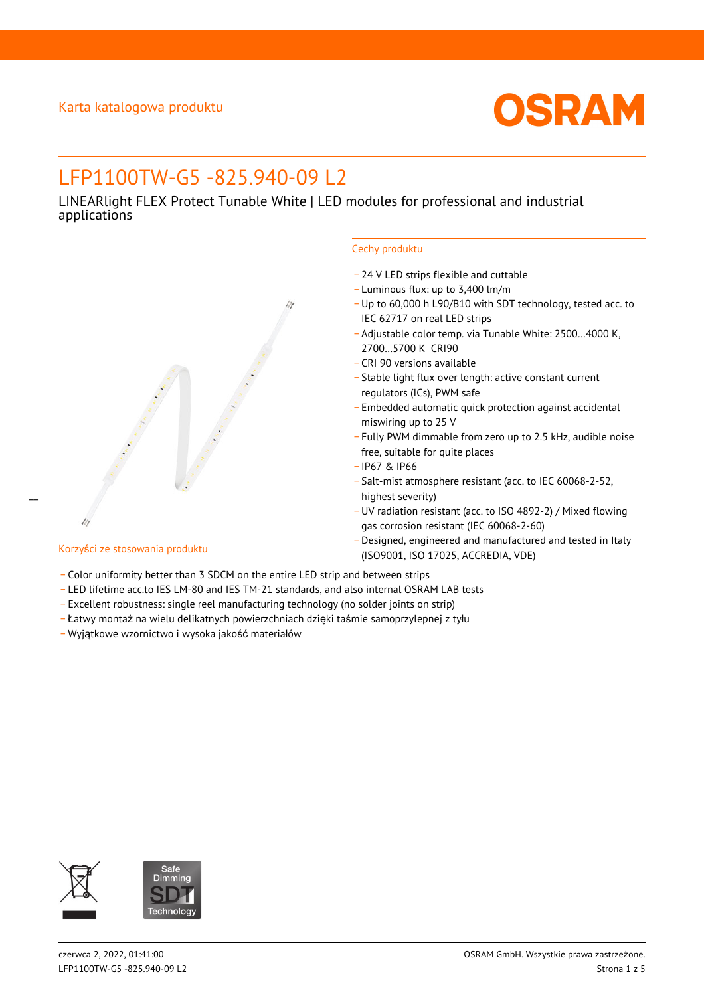

# LFP1100TW-G5 -825.940-09 L2

LINEARlight FLEX Protect Tunable White | LED modules for professional and industrial applications



### Cechy produktu

- \_ 24 V LED strips flexible and cuttable
- \_ Luminous flux: up to 3,400 lm/m
- \_ Up to 60,000 h L90/B10 with SDT technology, tested acc. to IEC 62717 on real LED strips
- \_ Adjustable color temp. via Tunable White: 2500…4000 K, 2700…5700 K CRI90
- \_ CRI 90 versions available
- \_ Stable light flux over length: active constant current regulators (ICs), PWM safe
- \_ Embedded automatic quick protection against accidental miswiring up to 25 V
- \_ Fully PWM dimmable from zero up to 2.5 kHz, audible noise free, suitable for quite places
- \_ IP67 & IP66
- \_ Salt-mist atmosphere resistant (acc. to IEC 60068-2-52, highest severity)
- \_ UV radiation resistant (acc. to ISO 4892-2) / Mixed flowing gas corrosion resistant (IEC 60068-2-60)
- Designed, engineered and manufactured and tested in Italy (ISO9001, ISO 17025, ACCREDIA, VDE)
- Color uniformity better than 3 SDCM on the entire LED strip and between strips
- \_ LED lifetime acc.to IES LM-80 and IES TM-21 standards, and also internal OSRAM LAB tests
- \_ Excellent robustness: single reel manufacturing technology (no solder joints on strip)
- \_ Łatwy montaż na wielu delikatnych powierzchniach dzięki taśmie samoprzylepnej z tyłu
- \_ Wyjątkowe wzornictwo i wysoka jakość materiałów



 $\overline{a}$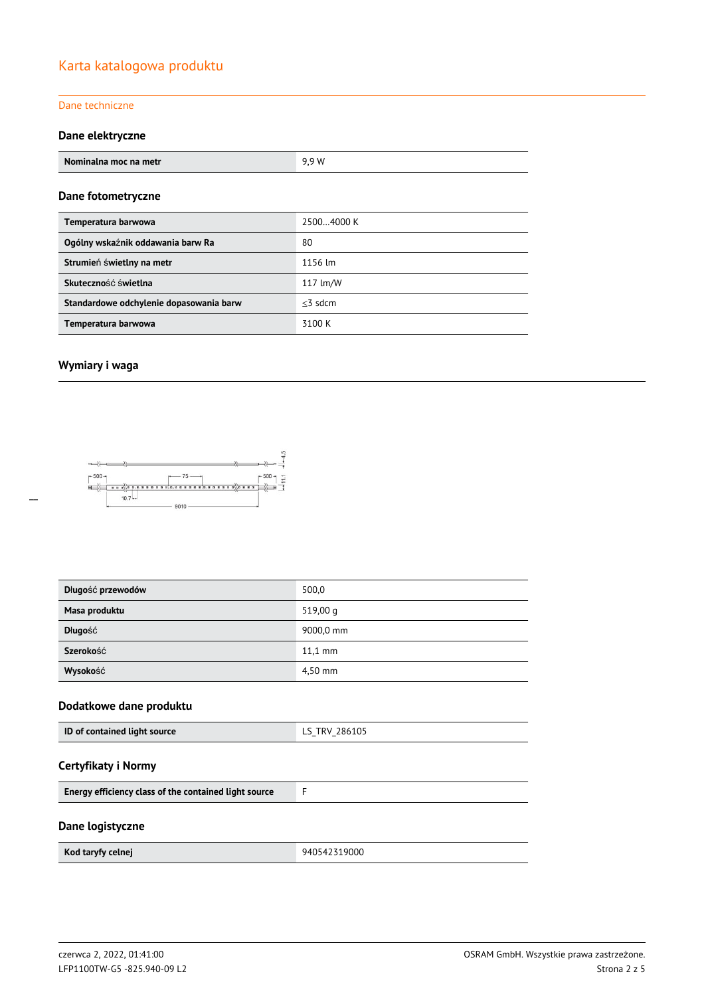## Karta katalogowa produktu

### Dane techniczne

### **Dane elektryczne**

| Nominalna moc na metr                   | 9,9 W      |
|-----------------------------------------|------------|
| Dane fotometryczne                      |            |
| Temperatura barwowa                     | 25004000 K |
| Ogólny wskaźnik oddawania barw Ra       | 80         |
| Strumień świetlny na metr               | 1156 lm    |
| Skuteczność świetlna                    | 117 lm/W   |
| Standardowe odchylenie dopasowania barw | $<$ 3 sdcm |
| Temperatura barwowa                     | 3100 K     |

### **Wymiary i waga**



| Długość przewodów | 500,0             |
|-------------------|-------------------|
| Masa produktu     | 519,00 g          |
| Długość           | 9000,0 mm         |
| Szerokość         | $11.1 \text{ mm}$ |
| Wysokość          | 4,50 mm           |

### **Dodatkowe dane produktu**

### **Certyfikaty i Normy**

### **Dane logistyczne**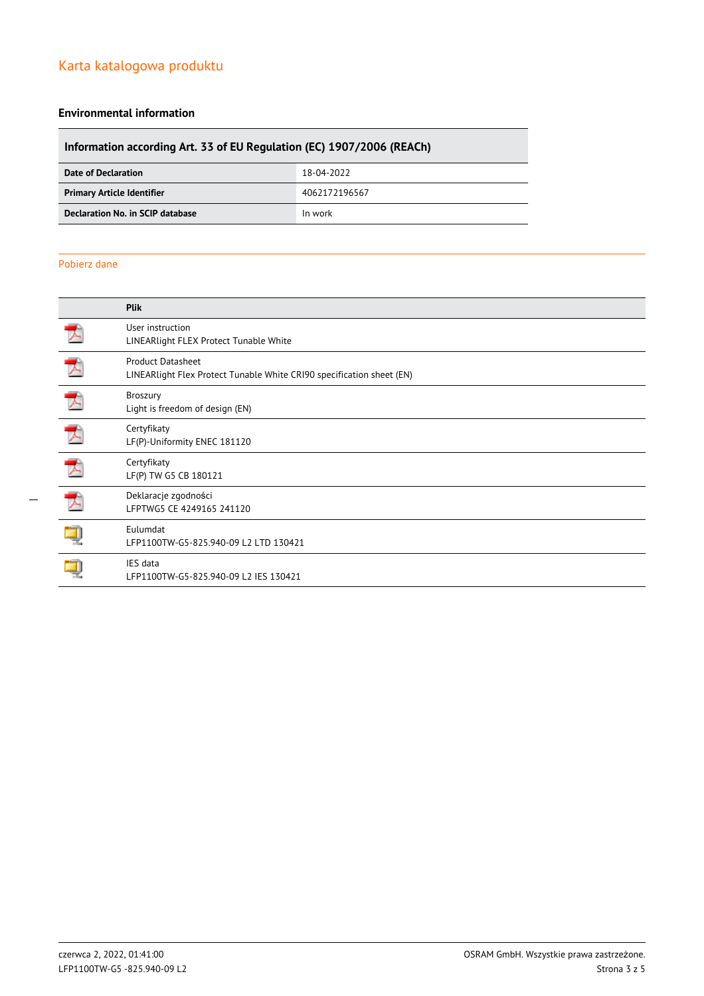# Karta katalogowa produktu

### **Environmental information**

# **Information according Art. 33 of EU Regulation (EC) 1907/2006 (REACh)**

| Date of Declaration               | 18-04-2022    |
|-----------------------------------|---------------|
| <b>Primary Article Identifier</b> | 4062172196567 |
| Declaration No. in SCIP database  | In work       |

### Pobierz dane

| <b>Plik</b>                                                                                       |
|---------------------------------------------------------------------------------------------------|
| User instruction<br>LINEARlight FLEX Protect Tunable White                                        |
| <b>Product Datasheet</b><br>LINEARlight Flex Protect Tunable White CRI90 specification sheet (EN) |
| Broszury<br>Light is freedom of design (EN)                                                       |
| Certyfikaty<br>LF(P)-Uniformity ENEC 181120                                                       |
| Certyfikaty<br>LF(P) TW G5 CB 180121                                                              |
| Deklaracje zgodności<br>LFPTWG5 CE 4249165 241120                                                 |
| Eulumdat<br>LFP1100TW-G5-825.940-09 L2 LTD 130421                                                 |
| IES data<br>LFP1100TW-G5-825.940-09 L2 IES 130421                                                 |
|                                                                                                   |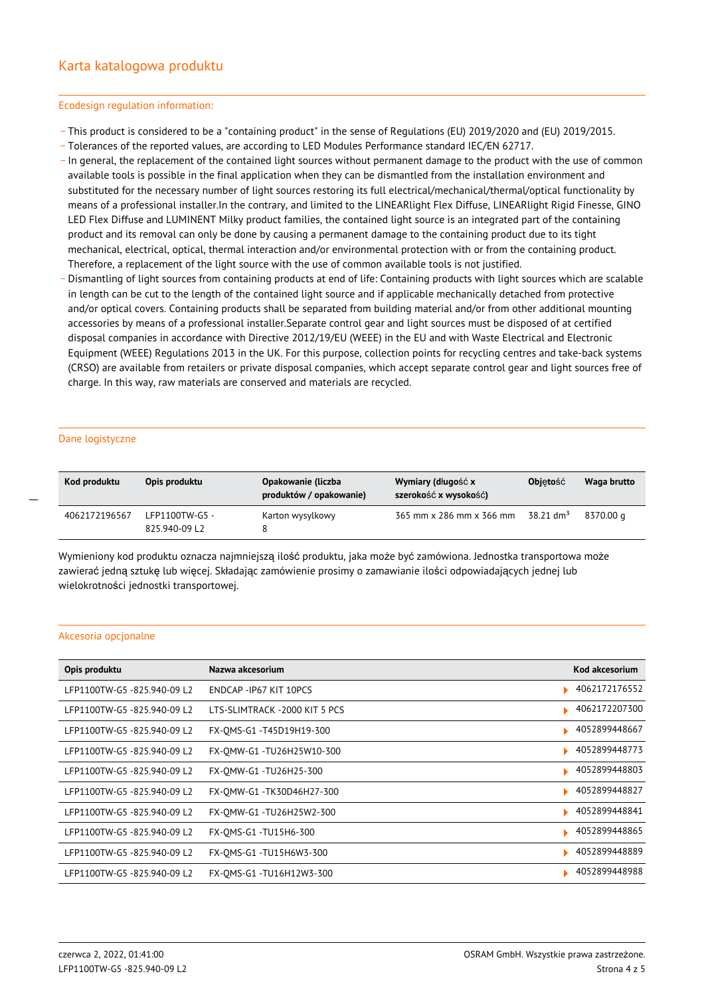#### Ecodesign regulation information:

- \_ This product is considered to be a "containing product" in the sense of Regulations (EU) 2019/2020 and (EU) 2019/2015.
- \_ Tolerances of the reported values, are according to LED Modules Performance standard IEC/EN 62717.
- \_ In general, the replacement of the contained light sources without permanent damage to the product with the use of common available tools is possible in the final application when they can be dismantled from the installation environment and substituted for the necessary number of light sources restoring its full electrical/mechanical/thermal/optical functionality by means of a professional installer.In the contrary, and limited to the LINEARlight Flex Diffuse, LINEARlight Rigid Finesse, GINO LED Flex Diffuse and LUMINENT Milky product families, the contained light source is an integrated part of the containing product and its removal can only be done by causing a permanent damage to the containing product due to its tight mechanical, electrical, optical, thermal interaction and/or environmental protection with or from the containing product. Therefore, a replacement of the light source with the use of common available tools is not justified.
- Dismantling of light sources from containing products at end of life: Containing products with light sources which are scalable in length can be cut to the length of the contained light source and if applicable mechanically detached from protective and/or optical covers. Containing products shall be separated from building material and/or from other additional mounting accessories by means of a professional installer.Separate control gear and light sources must be disposed of at certified disposal companies in accordance with Directive 2012/19/EU (WEEE) in the EU and with Waste Electrical and Electronic Equipment (WEEE) Regulations 2013 in the UK. For this purpose, collection points for recycling centres and take-back systems (CRSO) are available from retailers or private disposal companies, which accept separate control gear and light sources free of charge. In this way, raw materials are conserved and materials are recycled.

#### Dane logistyczne

 $\overline{a}$ 

| Kod produktu  | Opis produktu                   | Opakowanie (liczba<br>produktów / opakowanie) | Wymiary (długość x<br>szerokość x wysokość) | <b>Objetość</b>         | Waga brutto |
|---------------|---------------------------------|-----------------------------------------------|---------------------------------------------|-------------------------|-------------|
| 4062172196567 | LFP1100TW-G5 -<br>825.940-09 L2 | Karton wysylkowy                              | 365 mm x 286 mm x 366 mm                    | $38.21$ dm <sup>3</sup> | 8370.00 g   |

Wymieniony kod produktu oznacza najmniejszą ilość produktu, jaka może być zamówiona. Jednostka transportowa może zawierać jedną sztukę lub więcej. Składając zamówienie prosimy o zamawianie ilości odpowiadających jednej lub wielokrotności jednostki transportowej.

#### Akcesoria opcjonalne

| Opis produktu               | Nazwa akcesorium               | Kod akcesorium |
|-----------------------------|--------------------------------|----------------|
| LFP1100TW-G5 -825.940-09 L2 | ENDCAP - IP67 KIT 10PCS        | 4062172176552  |
| LFP1100TW-G5 -825.940-09 L2 | LTS-SLIMTRACK - 2000 KIT 5 PCS | 4062172207300  |
| LFP1100TW-G5-825.940-09 L2  | FX-OMS-G1 -T45D19H19-300       | 4052899448667  |
| LFP1100TW-G5 -825.940-09 L2 | FX-OMW-G1-TU26H25W10-300       | 4052899448773  |
| LFP1100TW-G5-825.940-09 L2  | FX-OMW-G1 -TU26H25-300         | 4052899448803  |
| LFP1100TW-G5 -825.940-09 L2 | FX-OMW-G1 -TK30D46H27-300      | 4052899448827  |
| LFP1100TW-G5 -825.940-09 L2 | FX-OMW-G1 -TU26H25W2-300       | 4052899448841  |
| LFP1100TW-G5-825.940-09 L2  | FX-OMS-G1 -TU15H6-300          | 4052899448865  |
| LFP1100TW-G5 -825.940-09 L2 | FX-OMS-G1 -TU15H6W3-300        | 4052899448889  |
| LFP1100TW-G5-825.940-09 L2  | FX-OMS-G1 -TU16H12W3-300       | 4052899448988  |